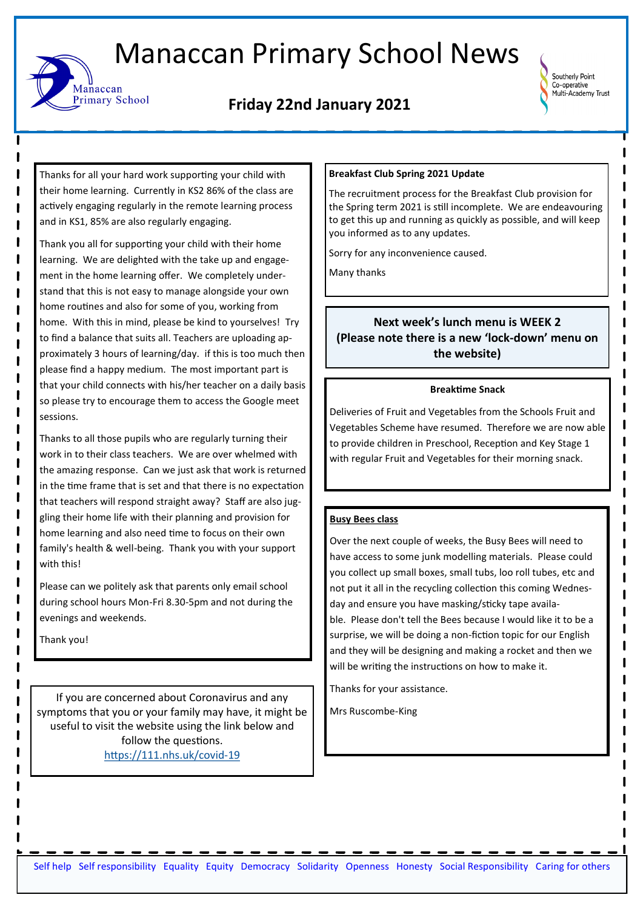# Manaccan Primary School News

## **Friday 22nd January 2021**



Thanks for all your hard work supporting your child with their home learning. Currently in KS2 86% of the class are actively engaging regularly in the remote learning process and in KS1, 85% are also regularly engaging.

Manaccan

**Primary School** 

Thank you all for supporting your child with their home learning. We are delighted with the take up and engagement in the home learning offer. We completely understand that this is not easy to manage alongside your own home routines and also for some of you, working from home. With this in mind, please be kind to yourselves! Try to find a balance that suits all. Teachers are uploading approximately 3 hours of learning/day. if this is too much then please find a happy medium. The most important part is that your child connects with his/her teacher on a daily basis so please try to encourage them to access the Google meet sessions.

Thanks to all those pupils who are regularly turning their work in to their class teachers. We are over whelmed with the amazing response. Can we just ask that work is returned in the time frame that is set and that there is no expectation that teachers will respond straight away? Staff are also juggling their home life with their planning and provision for home learning and also need time to focus on their own family's health & well-being. Thank you with your support with this!

Please can we politely ask that parents only email school during school hours Mon-Fri 8.30-5pm and not during the evenings and weekends.

Thank you!

If you are concerned about Coronavirus and any symptoms that you or your family may have, it might be useful to visit the website using the link below and follow the questions. [https://111.nhs.uk/covid](https://111.nhs.uk/covid-19)-19

#### **Breakfast Club Spring 2021 Update**

The recruitment process for the Breakfast Club provision for the Spring term 2021 is still incomplete. We are endeavouring to get this up and running as quickly as possible, and will keep you informed as to any updates.

Sorry for any inconvenience caused.

Many thanks

### **Next week's lunch menu is WEEK 2 (Please note there is a new 'lock-down' menu on the website)**

#### **Breaktime Snack**

Deliveries of Fruit and Vegetables from the Schools Fruit and Vegetables Scheme have resumed. Therefore we are now able to provide children in Preschool, Reception and Key Stage 1 with regular Fruit and Vegetables for their morning snack.

#### **Busy Bees class**

Over the next couple of weeks, the Busy Bees will need to have access to some junk modelling materials. Please could you collect up small boxes, small tubs, loo roll tubes, etc and not put it all in the recycling collection this coming Wednesday and ensure you have masking/sticky tape available. Please don't tell the Bees because I would like it to be a surprise, we will be doing a non-fiction topic for our English and they will be designing and making a rocket and then we will be writing the instructions on how to make it.

Thanks for your assistance.

Mrs Ruscombe-King